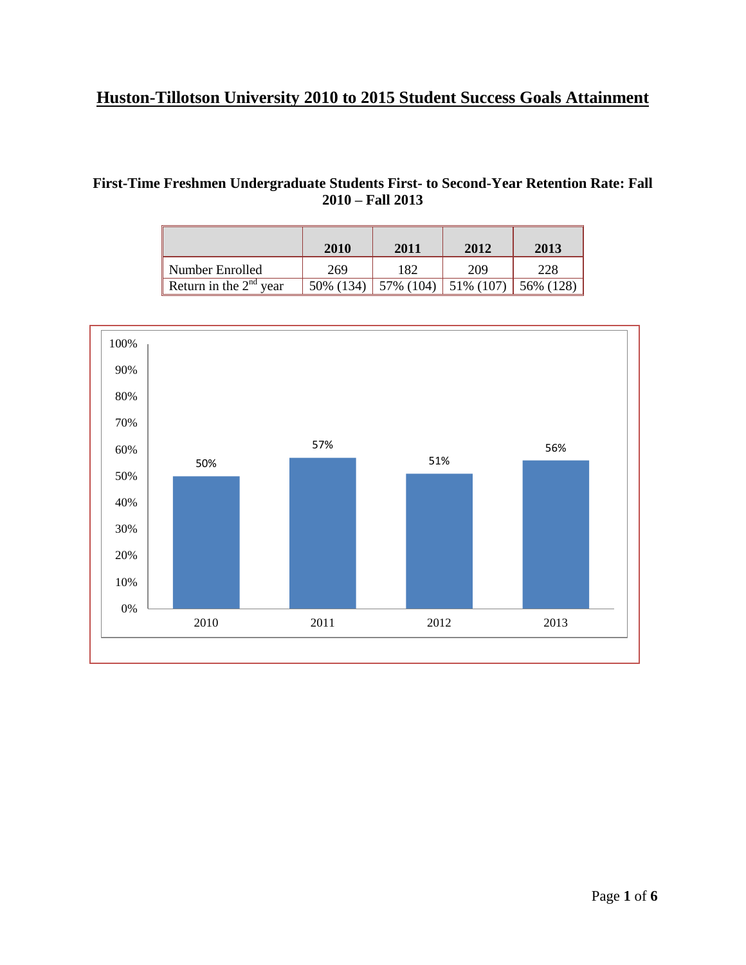## **Huston-Tillotson University 2010 to 2015 Student Success Goals Attainment**

## **First-Time Freshmen Undergraduate Students First- to Second-Year Retention Rate: Fall 2010 – Fall 2013**

|                          | 2010      | 2011      | 2012      | 2013      |
|--------------------------|-----------|-----------|-----------|-----------|
| Number Enrolled          | 269       | 182       | 209       | 228       |
| Return in the $2nd$ year | 50% (134) | 57% (104) | 51% (107) | 56% (128) |

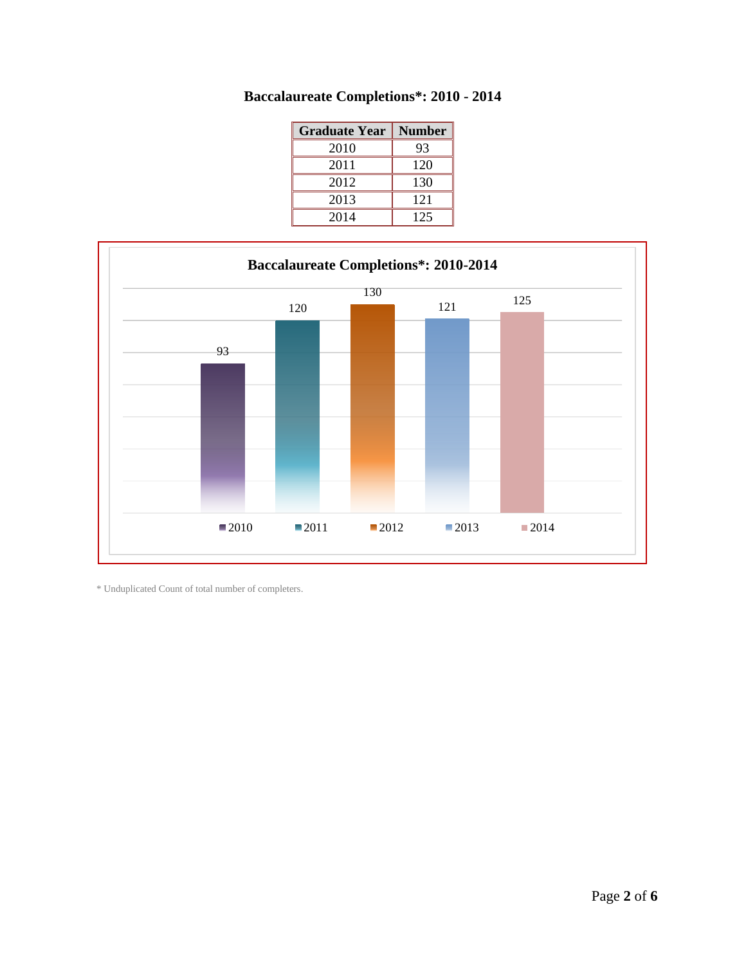| <b>Graduate Year</b> | <b>Number</b> |
|----------------------|---------------|
| 2010                 | 93            |
| 2011                 | 120           |
| 2012                 | 130           |
| 2013                 | 121           |
| 2014                 | 125           |





\* Unduplicated Count of total number of completers.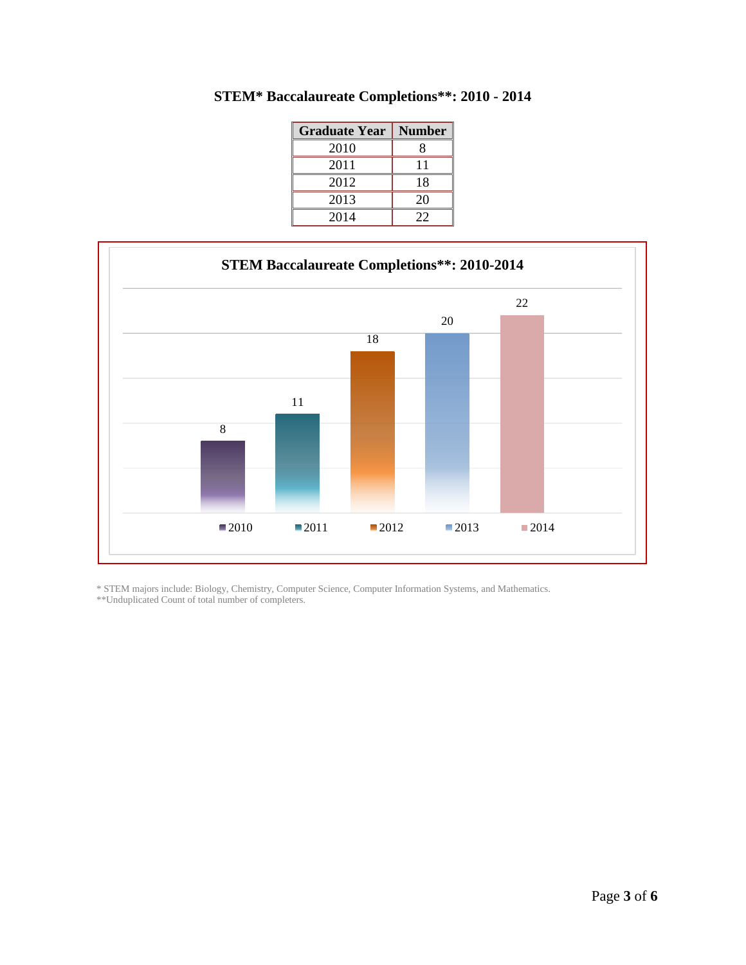| <b>Graduate Year</b> | <b>Number</b> |
|----------------------|---------------|
| 2010                 |               |
| 2011                 | 11            |
| 2012                 | 18            |
| 2013                 | 20            |
| 2014                 | 22            |





\* STEM majors include: Biology, Chemistry, Computer Science, Computer Information Systems, and Mathematics.

\*\*Unduplicated Count of total number of completers.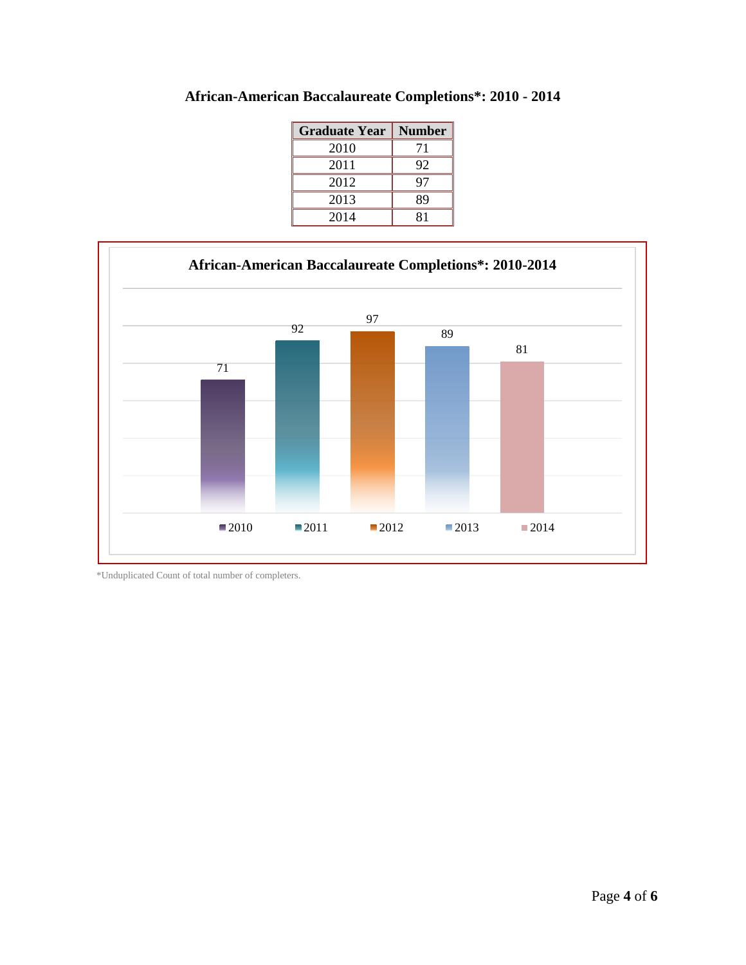| <b>Graduate Year</b> | <b>Number</b> |
|----------------------|---------------|
| 2010                 | 71            |
| 2011                 | 92            |
| 2012                 | 97            |
| 2013                 | 89            |
| 2014                 | 81            |





\*Unduplicated Count of total number of completers.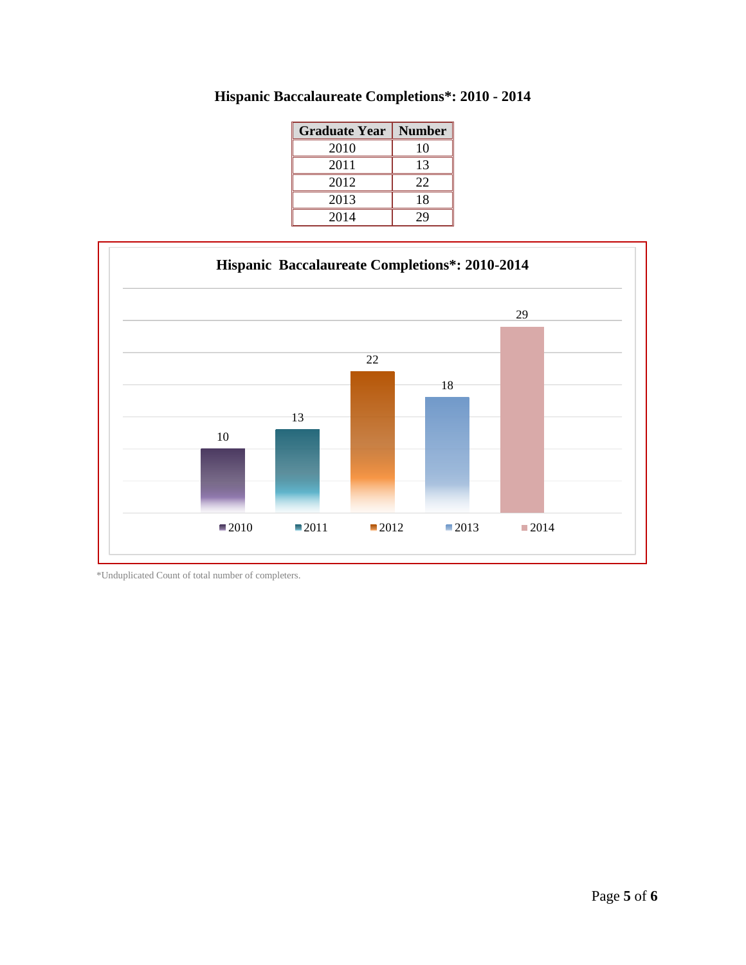| <b>Graduate Year</b> | <b>Number</b> |
|----------------------|---------------|
| 2010                 | 10            |
| 2011                 | 13            |
| 2012                 | 22            |
| 2013                 | 18            |
| 2014                 | 29            |

**Hispanic Baccalaureate Completions\*: 2010 - 2014**



\*Unduplicated Count of total number of completers.